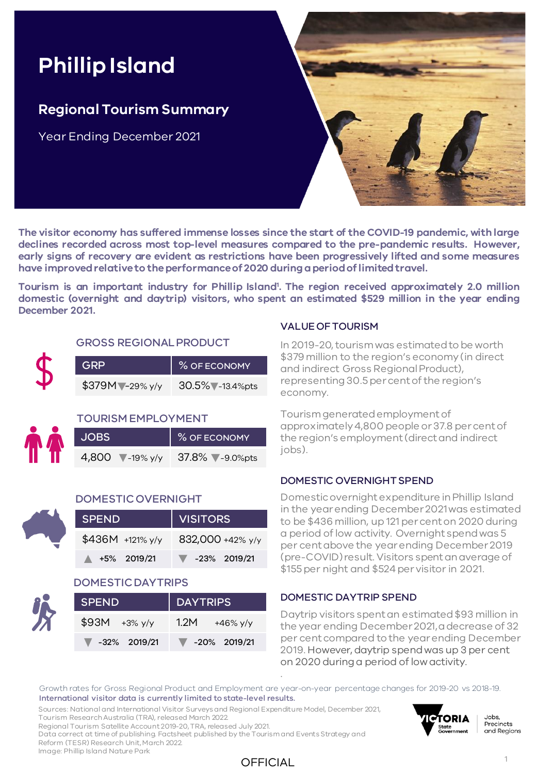# **Phillip Island**

### **Regional Tourism Summary**

Year Ending December 2021



**The visitor economy has suffered immense losses since the start of the COVID-19 pandemic, with large declines recorded across most top-level measures compared to the pre-pandemic results. However, early signs of recovery are evident as restrictions have been progressively lifted and some measures have improvedrelativeto theperformanceof 2020 duringaperiodoflimitedtravel.**

**Tourism is an important industry for Phillip Island<sup>1</sup> . The region received approximately 2.0 million domestic (overnight and daytrip) visitors, who spent an estimated \$529 million in the year ending December 2021.**

## GROSS REGIONAL PRODUCT

| <b>GRP</b>       | % OF ECONOMY      |
|------------------|-------------------|
| $$379M$ -29% y/y | 30.5% - 13.4% pts |

#### TOURISM EMPLOYMENT

| <b>JOBS</b>              | % OF ECONOMY   |
|--------------------------|----------------|
| 4,800 $\sqrt{-19\% y/y}$ | 37.8% -9.0%pts |



#### DOMESTIC OVERNIGHT

| <b>SPEND</b>            | VISITORS                          |
|-------------------------|-----------------------------------|
| $$436M +121\%$ y/y      | 832,000 +42% y/y                  |
| $\triangle$ +5% 2019/21 | $\blacktriangledown$ -23% 2019/21 |

#### DOMESTIC DAYTRIPS

| <b>SPEND</b>                      | <b>DAYTRIPS</b>                   |  |  |  |  |  |
|-----------------------------------|-----------------------------------|--|--|--|--|--|
| $$93M + 3\%$ y/y                  | 1.2M<br>+46% $y/y$                |  |  |  |  |  |
| $\blacktriangledown$ -32% 2019/21 | $\blacktriangledown$ -20% 2019/21 |  |  |  |  |  |

#### VALUE OF TOURISM

In 2019-20, tourism was estimated to be worth \$379 million to the region's economy (in direct and indirect Gross Regional Product), representing 30.5 per cent of the region's economy.

Tourism generated employment of approximately 4,800 people or 37.8 per cent of the region's employment (direct and indirect jobs).

#### DOMESTIC OVERNIGHT SPEND

Domestic overnight expenditure in Phillip Island in the year ending December 2021 was estimated to be \$436 million, up 121 per cent on 2020 during a period of low activity. Overnight spend was 5 per cent above the year ending December 2019 (pre-COVID) result. Visitors spent an average of \$155 per night and \$524 per visitor in 2021.

#### DOMESTIC DAYTRIP SPEND

Daytrip visitors spent an estimated \$93 million in the year ending December 2021, a decrease of 32 per cent compared to the year ending December 2019. However, daytrip spend was up 3 per cent on 2020 during a period of low activity.

Growth rates for Gross Regional Product and Employment are year-on-year percentage changes for 2019-20 vs 2018-19. International visitor data is currently limited to state-level results.

.

Sources: National and International Visitor Surveys and Regional Expenditure Model, December 2021, Tourism Research Australia (TRA), released March 2022.

Regional Tourism Satellite Account 2019-20, TRA, released July 2021. Data correct at time of publishing. Factsheet published by the Tourism and Events Strategy and

Reform (TESR) Research Unit, March 2022. Image: Phillip Island Nature Park

### OFFICIAL



Jobs, Precincts and Regions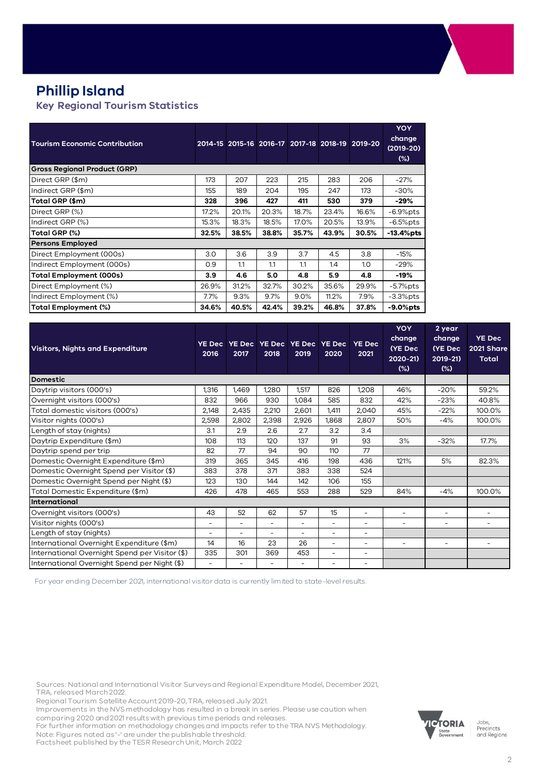## **Phillip Island**

#### **Key Regional Tourism Statistics**

| <b>Tourism Economic Contribution</b> |       |       |       |       |       | 2014-15 2015-16 2016-17 2017-18 2018-19 2019-20 | <b>YOY</b><br>change<br>$(2019-20)$<br>$(\%)$ |
|--------------------------------------|-------|-------|-------|-------|-------|-------------------------------------------------|-----------------------------------------------|
| <b>Gross Regional Product (GRP)</b>  |       |       |       |       |       |                                                 |                                               |
| Direct GRP (\$m)                     | 173   | 207   | 223   | 215   | 283   | 206                                             | $-27%$                                        |
| Indirect GRP (\$m)                   | 155   | 189   | 204   | 195   | 247   | 173                                             | $-30%$                                        |
| Total GRP (\$m)                      | 328   | 396   | 427   | 411   | 530   | 379                                             | $-29%$                                        |
| Direct GRP (%)                       | 17.2% | 20.1% | 20.3% | 18.7% | 23.4% | 16.6%                                           | $-6.9%$ pts                                   |
| Indirect GRP (%)                     | 15.3% | 18.3% | 18.5% | 17.0% | 20.5% | 13.9%                                           | $-6.5%$ pts                                   |
| Total GRP (%)                        | 32.5% | 38.5% | 38.8% | 35.7% | 43.9% | 30.5%                                           | $-13.4%$ pts                                  |
| <b>Persons Employed</b>              |       |       |       |       |       |                                                 |                                               |
| Direct Employment (000s)             | 3.0   | 3.6   | 3.9   | 3.7   | 4.5   | 3.8                                             | $-15%$                                        |
| Indirect Employment (000s)           | O.9   | 1.1   | 1.1   | 1.1   | 1.4   | 1.0                                             | $-29%$                                        |
| <b>Total Employment (000s)</b>       | 3.9   | 4.6   | 5.0   | 4.8   | 5.9   | 4.8                                             | $-19%$                                        |
| Direct Employment (%)                | 26.9% | 31.2% | 32.7% | 30.2% | 35.6% | 29.9%                                           | $-5.7\%$ pts                                  |
| Indirect Employment (%)              | 7.7%  | 9.3%  | 9.7%  | 9.0%  | 11.2% | 7.9%                                            | $-3.3%$ pts                                   |
| Total Employment (%)                 | 34.6% | 40.5% | 42.4% | 39.2% | 46.8% | 37.8%                                           | -9.0%pts                                      |

| <b>Visitors, Nights and Expenditure</b>        | <b>YE Dec</b><br>2016    | 2017  | 2018  | YE Dec YE Dec YE Dec YE Dec<br>2019 | 2020                     | <b>YE Dec</b><br>2021    | <b>YOY</b><br>change<br>(YE Dec<br>2020-21)<br>$(\%)$ | 2 year<br>change<br>(YE Dec<br>2019-21)<br>$(\%)$ | <b>YE Dec</b><br>2021 Share<br><b>Total</b> |
|------------------------------------------------|--------------------------|-------|-------|-------------------------------------|--------------------------|--------------------------|-------------------------------------------------------|---------------------------------------------------|---------------------------------------------|
| <b>Domestic</b>                                |                          |       |       |                                     |                          |                          |                                                       |                                                   |                                             |
| Daytrip visitors (000's)                       | 1,316                    | 1,469 | 1,280 | 1,517                               | 826                      | 1,208                    | 46%                                                   | $-20%$                                            | 59.2%                                       |
| Overnight visitors (000's)                     | 832                      | 966   | 930   | 1,084                               | 585                      | 832                      | 42%                                                   | $-23%$                                            | 40.8%                                       |
| Total domestic visitors (000's)                | 2,148                    | 2,435 | 2,210 | 2,601                               | 1,411                    | 2,040                    | 45%                                                   | $-22%$                                            | 100.0%                                      |
| Visitor nights (000's)                         | 2,598                    | 2,802 | 2,398 | 2,926                               | 1,868                    | 2,807                    | 50%                                                   | $-4%$                                             | 100.0%                                      |
| Length of stay (nights)                        | 3.1                      | 2.9   | 2.6   | 2.7                                 | 3.2                      | 3.4                      |                                                       |                                                   |                                             |
| Daytrip Expenditure (\$m)                      | 108                      | 113   | 120   | 137                                 | 91                       | 93                       | 3%                                                    | $-32%$                                            | 17.7%                                       |
| Daytrip spend per trip                         | 82                       | 77    | 94    | 90                                  | 110                      | 77                       |                                                       |                                                   |                                             |
| Domestic Overnight Expenditure (\$m)           | 319                      | 365   | 345   | 416                                 | 198                      | 436                      | 121%                                                  | 5%                                                | 82.3%                                       |
| Domestic Overnight Spend per Visitor (\$)      | 383                      | 378   | 371   | 383                                 | 338                      | 524                      |                                                       |                                                   |                                             |
| Domestic Overnight Spend per Night (\$)        | 123                      | 130   | 144   | 142                                 | 106                      | 155                      |                                                       |                                                   |                                             |
| Total Domestic Expenditure (\$m)               | 426                      | 478   | 465   | 553                                 | 288                      | 529                      | 84%                                                   | $-4%$                                             | 100.0%                                      |
| International                                  |                          |       |       |                                     |                          |                          |                                                       |                                                   |                                             |
| Overnight visitors (000's)                     | 43                       | 52    | 62    | 57                                  | 15                       | $\overline{\phantom{a}}$ | $\overline{\phantom{a}}$                              | $\overline{\phantom{a}}$                          | -                                           |
| Visitor nights (000's)                         | $\overline{\phantom{a}}$ | Ξ.    | ٠     | $\overline{\phantom{a}}$            | ۰                        | -                        | $\overline{\phantom{m}}$                              | $\overline{\phantom{a}}$                          | ۰                                           |
| Length of stay (nights)                        | $\overline{\phantom{a}}$ |       | ÷     | ÷                                   | $\overline{\phantom{a}}$ | -                        |                                                       |                                                   |                                             |
| International Overnight Expenditure (\$m)      | 14                       | 16    | 23    | 26                                  | ÷.                       | Ξ.                       | $\overline{\phantom{a}}$                              | $\sim$                                            |                                             |
| International Overnight Spend per Visitor (\$) | 335                      | 301   | 369   | 453                                 | ۰                        | Ξ.                       |                                                       |                                                   |                                             |
| International Overnight Spend per Night (\$)   | ۰                        |       |       | $\overline{\phantom{a}}$            |                          |                          |                                                       |                                                   |                                             |

For year ending December 2021, international visitor data is currently limited to state-level results.

Sources: National and International Visitor Surveys and Regional Expenditure Model, December 2021, TRA, released March 2022.

Regional Tourism Satellite Account 2019-20, TRA, released July 2021.

Improvements in the NVS methodology has resulted in a break in series. Please use caution when comparing 2020 and 2021 results with previous time periods and releases.

For further information on methodology changes and impacts refer to the TRA NVS Methodology. Note: Figures noted as '-' are under the publishable threshold.

Factsheet published by the TESR Research Unit, March 2022